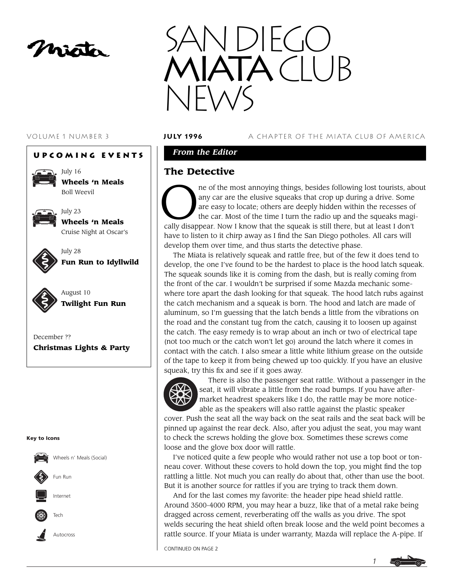mista







July 16 **Wheels 'n Meals** Boll Weevil

July 23



**Wheels 'n Meals** Cruise Night at Oscar's



July 28 **Fun Run to Idyllwild**



August 10 **Twilight Fun Run**

December ?? **Christmas Lights & Party**

#### **Key to Icons**



#### VOLUME 1 NUMBER 3 **JUly 1996** A CHAPTER OF THE MIATA CLUB OF AMERICA

## *From the Editor*

## **The Detective**

The most annoying things, besides following lost tourists, about any car are the elusive squeaks that crop up during a drive. Some are easy to locate; others are deeply hidden within the recesses of the car. Most of the ti any car are the elusive squeaks that crop up during a drive. Some are easy to locate; others are deeply hidden within the recesses of the car. Most of the time I turn the radio up and the squeaks magically disappear. Now I know that the squeak is still there, but at least I don't have to listen to it chirp away as I find the San Diego potholes. All cars will develop them over time, and thus starts the detective phase.

The Miata is relatively squeak and rattle free, but of the few it does tend to develop, the one I've found to be the hardest to place is the hood latch squeak. The squeak sounds like it is coming from the dash, but is really coming from the front of the car. I wouldn't be surprised if some Mazda mechanic somewhere tore apart the dash looking for that squeak. The hood latch rubs against the catch mechanism and a squeak is born. The hood and latch are made of aluminum, so I'm guessing that the latch bends a little from the vibrations on the road and the constant tug from the catch, causing it to loosen up against the catch. The easy remedy is to wrap about an inch or two of electrical tape (not too much or the catch won't let go) around the latch where it comes in contact with the catch. I also smear a little white lithium grease on the outside of the tape to keep it from being chewed up too quickly. If you have an elusive squeak, try this fix and see if it goes away.



There is also the passenger seat rattle. Without a passenger in the seat, it will vibrate a little from the road bumps. If you have aftermarket headrest speakers like I do, the rattle may be more noticeable as the speakers will also rattle against the plastic speaker

cover. Push the seat all the way back on the seat rails and the seat back will be pinned up against the rear deck. Also, after you adjust the seat, you may want to check the screws holding the glove box. Sometimes these screws come loose and the glove box door will rattle.

I've noticed quite a few people who would rather not use a top boot or tonneau cover. Without these covers to hold down the top, you might find the top rattling a little. Not much you can really do about that, other than use the boot. But it is another source for rattles if you are trying to track them down.

And for the last comes my favorite: the header pipe head shield rattle. Around 3500-4000 RPM, you may hear a buzz, like that of a metal rake being dragged across cement, reverberating off the walls as you drive. The spot welds securing the heat shield often break loose and the weld point becomes a rattle source. If your Miata is under warranty, Mazda will replace the A-pipe. If

CONTINUED ON PAGE 2

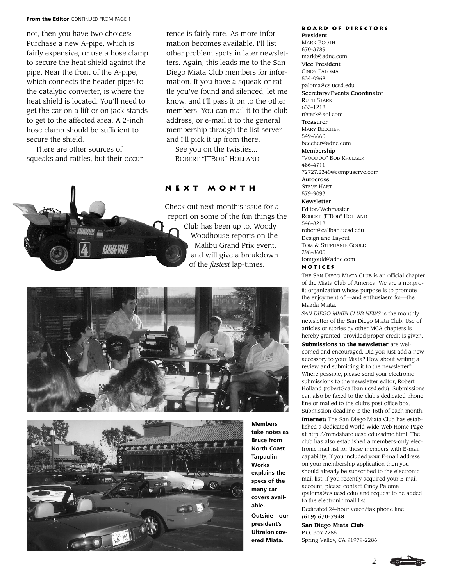#### **From the Editor** CONTINUED FROM PAGE 1

not, then you have two choices: Purchase a new A-pipe, which is fairly expensive, or use a hose clamp to secure the heat shield against the pipe. Near the front of the A-pipe, which connects the header pipes to the catalytic converter, is where the heat shield is located. You'll need to get the car on a lift or on jack stands to get to the affected area. A 2-inch hose clamp should be sufficient to secure the shield.

There are other sources of squeaks and rattles, but their occurrence is fairly rare. As more information becomes available, I'll list other problem spots in later newsletters. Again, this leads me to the San Diego Miata Club members for information. If you have a squeak or rattle you've found and silenced, let me know, and I'll pass it on to the other members. You can mail it to the club address, or e-mail it to the general membership through the list server and I'll pick it up from there.

See you on the twisties... — ROBERT "JTBOB" HOLLAND

## **Next Month**

Check out next month's issue for a report on some of the fun things the Club has been up to. Woody Woodhouse reports on the Malibu Grand Prix event, and will give a breakdown of the *fastest* lap-times.





**Members take notes as Bruce from North Coast Tarpaulin Works explains the specs of the many car covers available. Outside—our president's Ultralon covered Miata.**

#### **Board of Directors** President MARK BOOTH 670-3789 markb@adnc.com Vice President CINDY PALOMA 534-0968 paloma@cs.ucsd.edu Secretary/Events Coordinator RUTH STARK 633-1218 rfstark@aol.com Treasurer MARY BEECHER 549-6660 beecher@adnc.com Membership "VOODOO" BOB KRUEGER 486-4711 72727.2340@compuserve.com Autocross STEVE HART 579-9093 Newsletter Editor/Webmaster ROBERT "JTBOB" HOLLAND 546-8218 robert@caliban.ucsd.edu Design and Layout TOM & STEPHANIE GOULD 298-8605 tomgould@adnc.com

#### **Notices**

THE SAN DIEGO MIATA CLUB is an official chapter of the Miata Club of America. We are a nonprofit organization whose purpose is to promote the enjoyment of —and enthusiasm for—the Mazda Miata.

*SAN DIEGO MIATA CLUB NEWS* is the monthly newsletter of the San Diego Miata Club. Use of articles or stories by other MCA chapters is hereby granted, provided proper credit is given. **Submissions to the newsletter** are welcomed and encouraged. Did you just add a new accessory to your Miata? How about writing a review and submitting it to the newsletter? Where possible, please send your electronic submissions to the newsletter editor, Robert Holland (robert@caliban.ucsd.edu). Submissions can also be faxed to the club's dedicated phone line or mailed to the club's post office box. Submission deadline is the 15th of each month.

**Internet:** The San Diego Miata Club has established a dedicated World Wide Web Home Page at http://mmdshare.ucsd.edu/sdmc.html. The club has also established a members-only electronic mail list for those members with E-mail capability. If you included your E-mail address on your membership application then you should already be subscribed to the electronic mail list. If you recently acquired your E-mail account, please contact Cindy Paloma (paloma@cs.ucsd.edu) and request to be added to the electronic mail list. Dedicated 24-hour voice/fax phone line:

(619) 670-7948 **San Diego Miata Club** P.O. Box 2286

Spring Valley, CA 91979-2286



*2*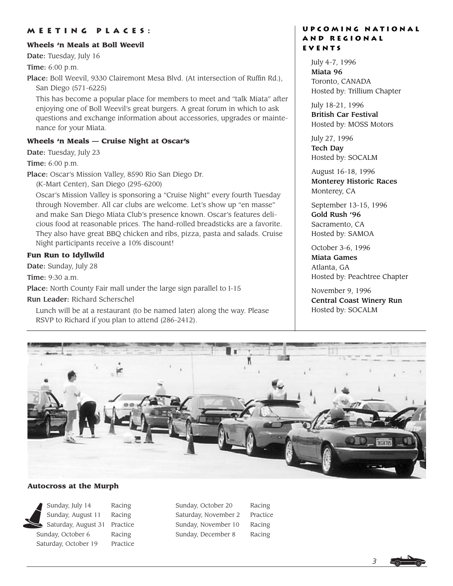## **Meeting places:**

#### **Wheels 'n Meals at Boll Weevil**

Date: Tuesday, July 16

Time: 6:00 p.m.

Place: Boll Weevil, 9330 Clairemont Mesa Blvd. (At intersection of Ruffin Rd.), San Diego (571-6225)

This has become a popular place for members to meet and "talk Miata" after enjoying one of Boll Weevil's great burgers. A great forum in which to ask questions and exchange information about accessories, upgrades or maintenance for your Miata.

#### **Wheels 'n Meals — Cruise Night at Oscar's**

Date: Tuesday, July 23

Time: 6:00 p.m.

Place: Oscar's Mission Valley, 8590 Rio San Diego Dr.

(K-Mart Center), San Diego (295-6200)

Oscar's Mission Valley is sponsoring a "Cruise Night" every fourth Tuesday through November. All car clubs are welcome. Let's show up "en masse" and make San Diego Miata Club's presence known. Oscar's features delicious food at reasonable prices. The hand-rolled breadsticks are a favorite. They also have great BBQ chicken and ribs, pizza, pasta and salads. Cruise Night participants receive a 10% discount!

#### **Fun Run to Idyllwild**

Date: Sunday, July 28

Time: 9:30 a.m.

Place: North County Fair mall under the large sign parallel to I-15

Run Leader: Richard Scherschel

Lunch will be at a restaurant (to be named later) along the way. Please RSVP to Richard if you plan to attend (286-2412).

### **Upcoming National and Regional EVENTS**

July 4-7, 1996 Miata 96 Toronto, CANADA Hosted by: Trillium Chapter

July 18-21, 1996 British Car Festival Hosted by: MOSS Motors

July 27, 1996 Tech Day Hosted by: SOCALM

August 16-18, 1996 Monterey Historic Races Monterey, CA

September 13-15, 1996 Gold Rush '96 Sacramento, CA Hosted by: SAMOA

October 3-6, 1996 Miata Games Atlanta, GA Hosted by: Peachtree Chapter

November 9, 1996 Central Coast Winery Run Hosted by: SOCALM



#### **Autocross at the Murph**

Sunday, July 14 Racing Sunday, August 11 Racing Saturday, August 31 Practice Sunday, October 6 Racing Saturday, October 19 Practice

Sunday, October 20 Racing Saturday, November 2 Practice Sunday, November 10 Racing Sunday, December 8 Racing

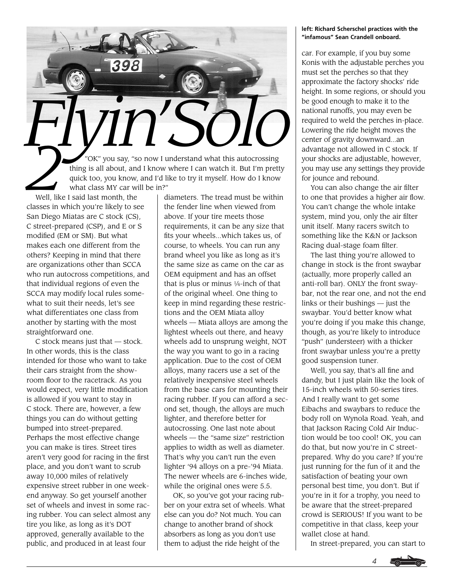

Well, like I said last month, the classes in which you're likely to see San Diego Miatas are C stock (CS), C street-prepared (CSP), and E or S modified (EM or SM). But what makes each one different from the others? Keeping in mind that there are organizations other than SCCA who run autocross competitions, and that individual regions of even the SCCA may modify local rules somewhat to suit their needs, let's see what differentiates one class from another by starting with the most straightforward one.

C stock means just that — stock. In other words, this is the class intended for those who want to take their cars straight from the showroom floor to the racetrack. As you would expect, very little modification is allowed if you want to stay in C stock. There are, however, a few things you can do without getting bumped into street-prepared. Perhaps the most effective change you can make is tires. Street tires aren't very good for racing in the first place, and you don't want to scrub away 10,000 miles of relatively expensive street rubber in one weekend anyway. So get yourself another set of wheels and invest in some racing rubber. You can select almost any tire you like, as long as it's DOT approved, generally available to the public, and produced in at least four

diameters. The tread must be within the fender line when viewed from above. If your tire meets those requirements, it can be any size that fits your wheels...which takes us, of course, to wheels. You can run any brand wheel you like as long as it's the same size as came on the car as OEM equipment and has an offset that is plus or minus  $1/4$ -inch of that of the original wheel. One thing to keep in mind regarding these restrictions and the OEM Miata alloy wheels — Miata alloys are among the lightest wheels out there, and heavy wheels add to unsprung weight, NOT the way you want to go in a racing application. Due to the cost of OEM alloys, many racers use a set of the relatively inexpensive steel wheels from the base cars for mounting their racing rubber. If you can afford a second set, though, the alloys are much lighter, and therefore better for autocrossing. One last note about wheels — the "same size" restriction applies to width as well as diameter. That's why you can't run the even lighter '94 alloys on a pre-'94 Miata. The newer wheels are 6-inches wide, while the original ones were 5.5.

OK, so you've got your racing rubber on your extra set of wheels. What else can you do? Not much. You can change to another brand of shock absorbers as long as you don't use them to adjust the ride height of the

#### **left: Richard Scherschel practices with the "infamous" Sean Crandell onboard.**

car. For example, if you buy some Konis with the adjustable perches you must set the perches so that they approximate the factory shocks' ride height. In some regions, or should you be good enough to make it to the national runoffs, you may even be required to weld the perches in-place. Lowering the ride height moves the center of gravity downward...an advantage not allowed in C stock. If your shocks are adjustable, however, you may use any settings they provide for jounce and rebound.

You can also change the air filter to one that provides a higher air flow. You can't change the whole intake system, mind you, only the air filter unit itself. Many racers switch to something like the K&N or Jackson Racing dual-stage foam filter.

The last thing you're allowed to change in stock is the front swaybar (actually, more properly called an anti-roll bar). ONLY the front swaybar, not the rear one, and not the end links or their bushings — just the swaybar. You'd better know what you're doing if you make this change, though, as you're likely to introduce "push" (understeer) with a thicker front swaybar unless you're a pretty good suspension tuner.

Well, you say, that's all fine and dandy, but I just plain like the look of 15-inch wheels with 50-series tires. And I really want to get some Eibachs and swaybars to reduce the body roll on Wynola Road. Yeah, and that Jackson Racing Cold Air Induction would be too cool! OK, you can do that, but now you're in C streetprepared. Why do you care? If you're just running for the fun of it and the satisfaction of beating your own personal best time, you don't. But if you're in it for a trophy, you need to be aware that the street-prepared crowd is SERIOUS! If you want to be competitive in that class, keep your wallet close at hand.

In street-prepared, you can start to

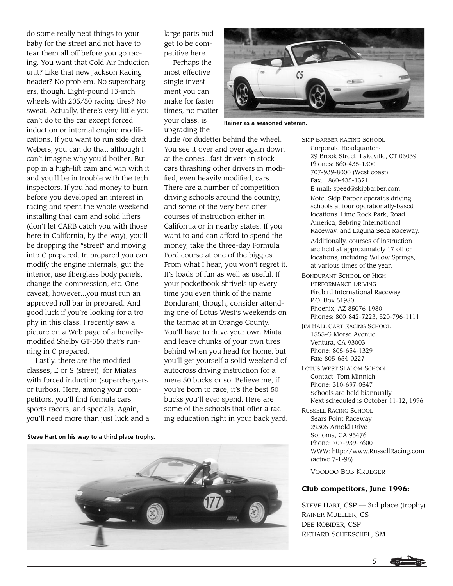do some really neat things to your baby for the street and not have to tear them all off before you go racing. You want that Cold Air Induction unit? Like that new Jackson Racing header? No problem. No superchargers, though. Eight-pound 13-inch wheels with 205/50 racing tires? No sweat. Actually, there's very little you can't do to the car except forced induction or internal engine modifications. If you want to run side draft Webers, you can do that, although I can't imagine why you'd bother. But pop in a high-lift cam and win with it and you'll be in trouble with the tech inspectors. If you had money to burn before you developed an interest in racing and spent the whole weekend installing that cam and solid lifters (don't let CARB catch you with those here in California, by the way), you'll be dropping the "street" and moving into C prepared. In prepared you can modify the engine internals, gut the interior, use fiberglass body panels, change the compression, etc. One caveat, however...you must run an approved roll bar in prepared. And good luck if you're looking for a trophy in this class. I recently saw a picture on a Web page of a heavilymodified Shelby GT-350 that's running in C prepared.

Lastly, there are the modified classes, E or S (street), for Miatas with forced induction (superchargers or turbos). Here, among your competitors, you'll find formula cars, sports racers, and specials. Again, you'll need more than just luck and a

large parts budget to be competitive here.

Perhaps the most effective single investment you can make for faster times, no matter your class, is upgrading the



**Rainer as a seasoned veteran.**

dude (or dudette) behind the wheel. You see it over and over again down at the cones...fast drivers in stock cars thrashing other drivers in modified, even heavily modified, cars. There are a number of competition driving schools around the country, and some of the very best offer courses of instruction either in California or in nearby states. If you want to and can afford to spend the money, take the three-day Formula Ford course at one of the biggies. From what I hear, you won't regret it. It's loads of fun as well as useful. If your pocketbook shrivels up every time you even think of the name Bondurant, though, consider attending one of Lotus West's weekends on the tarmac at in Orange County. You'll have to drive your own Miata and leave chunks of your own tires behind when you head for home, but you'll get yourself a solid weekend of autocross driving instruction for a mere 50 bucks or so. Believe me, if you're born to race, it's the best 50 bucks you'll ever spend. Here are some of the schools that offer a racing education right in your back yard:

**Steve Hart on his way to a third place trophy.**



SKIP BARBER RACING SCHOOL Corporate Headquarters 29 Brook Street, Lakeville, CT 06039 Phones: 860-435-1300 707-939-8000 (West coast) Fax: 860-435-1321 E-mail: speed@skipbarber.com Note: Skip Barber operates driving schools at four operationally-based locations: Lime Rock Park, Road America, Sebring International Raceway, and Laguna Seca Raceway. Additionally, courses of instruction are held at approximately 17 other locations, including Willow Springs, at various times of the year.

- BONDURANT SCHOOL OF HIGH PERFORMANCE DRIVING Firebird International Raceway P.O. Box 51980 Phoenix, AZ 85076-1980 Phones: 800-842-7223, 520-796-1111
- JIM HALL CART RACING SCHOOL 1555-G Morse Avenue, Ventura, CA 93003 Phone: 805-654-1329 Fax: 805-654-0227
- LOTUS WEST SLALOM SCHOOL Contact: Tom Minnich Phone: 310-697-0547 Schools are held biannually. Next scheduled is October 11-12, 1996
- RUSSELL RACING SCHOOL Sears Point Raceway 29305 Arnold Drive Sonoma, CA 95476 Phone: 707-939-7600 WWW: http://www.RussellRacing.com (active 7-1-96)
- VOODOO BOB KRUEGER

#### **Club competitors, June 1996:**

STEVE HART, CSP — 3rd place (trophy) RAINER MUELLER, CS DEE ROBIDER, CSP RICHARD SCHERSCHEL, SM

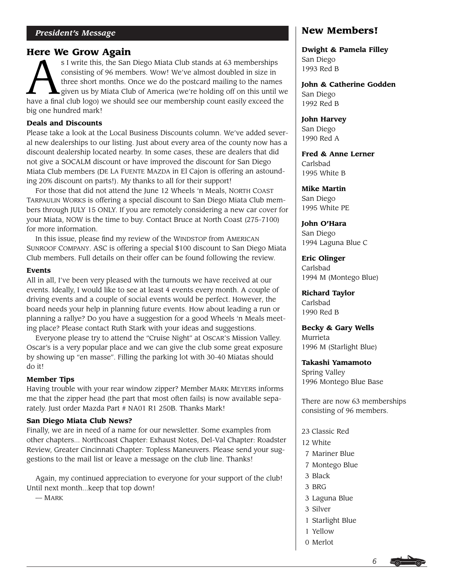# **Here We Grow Again**

S I write this, the San Diego Miata Club stands at 63 memberships<br>
consisting of 96 members. Wow! We've almost doubled in size in<br>
three short months. Once we do the postcard mailing to the names<br>
given us by Miata Club of consisting of 96 members. Wow! We've almost doubled in size in three short months. Once we do the postcard mailing to the names given us by Miata Club of America (we're holding off on this until we big one hundred mark!

# **Deals and Discounts**

Please take a look at the Local Business Discounts column. We've added several new dealerships to our listing. Just about every area of the county now has a discount dealership located nearby. In some cases, these are dealers that did not give a SOCALM discount or have improved the discount for San Diego Miata Club members (DE LA FUENTE MAZDA in El Cajon is offering an astounding 20% discount on parts!). My thanks to all for their support!

For those that did not attend the June 12 Wheels 'n Meals, NORTH COAST TARPAULIN WORKS is offering a special discount to San Diego Miata Club members through JULY 15 ONLY. If you are remotely considering a new car cover for your Miata, NOW is the time to buy. Contact Bruce at North Coast (275-7100) for more information.

In this issue, please find my review of the WINDSTOP from AMERICAN SUNROOF COMPANY. ASC is offering a special \$100 discount to San Diego Miata Club members. Full details on their offer can be found following the review.

### **Events**

All in all, I've been very pleased with the turnouts we have received at our events. Ideally, I would like to see at least 4 events every month. A couple of driving events and a couple of social events would be perfect. However, the board needs your help in planning future events. How about leading a run or planning a rallye? Do you have a suggestion for a good Wheels 'n Meals meeting place? Please contact Ruth Stark with your ideas and suggestions.

Everyone please try to attend the "Cruise Night" at OSCAR'S Mission Valley. Oscar's is a very popular place and we can give the club some great exposure by showing up "en masse". Filling the parking lot with 30-40 Miatas should do it!

## **Member Tips**

Having trouble with your rear window zipper? Member MARK MEYERS informs me that the zipper head (the part that most often fails) is now available separately. Just order Mazda Part # NA01 R1 250B. Thanks Mark!

## **San Diego Miata Club News?**

Finally, we are in need of a name for our newsletter. Some examples from other chapters... Northcoast Chapter: Exhaust Notes, Del-Val Chapter: Roadster Review, Greater Cincinnati Chapter: Topless Maneuvers. Please send your suggestions to the mail list or leave a message on the club line. Thanks!

Again, my continued appreciation to everyone for your support of the club! Until next month...keep that top down!

— MARK

# **New Members!**

**Dwight & Pamela Filley** San Diego 1993 Red B

**John & Catherine Godden** San Diego 1992 Red B

**John Harvey** San Diego 1990 Red A

**Fred & Anne Lerner** Carlsbad 1995 White B

**Mike Martin** San Diego 1995 White PE

**John O'Hara** San Diego 1994 Laguna Blue C

**Eric Olinger** Carlsbad 1994 M (Montego Blue)

**Richard Taylor** Carlsbad 1990 Red B

**Becky & Gary Wells** Murrieta 1996 M (Starlight Blue)

**Takashi Yamamoto** Spring Valley 1996 Montego Blue Base

There are now 63 memberships consisting of 96 members.

- 23 Classic Red 12 White 7 Mariner Blue 7 Montego Blue 3 Black
- 3 BRG
- 3 Laguna Blue
- 3 Silver
- 1 Starlight Blue
- 1 Yellow
- 0 Merlot



*6*